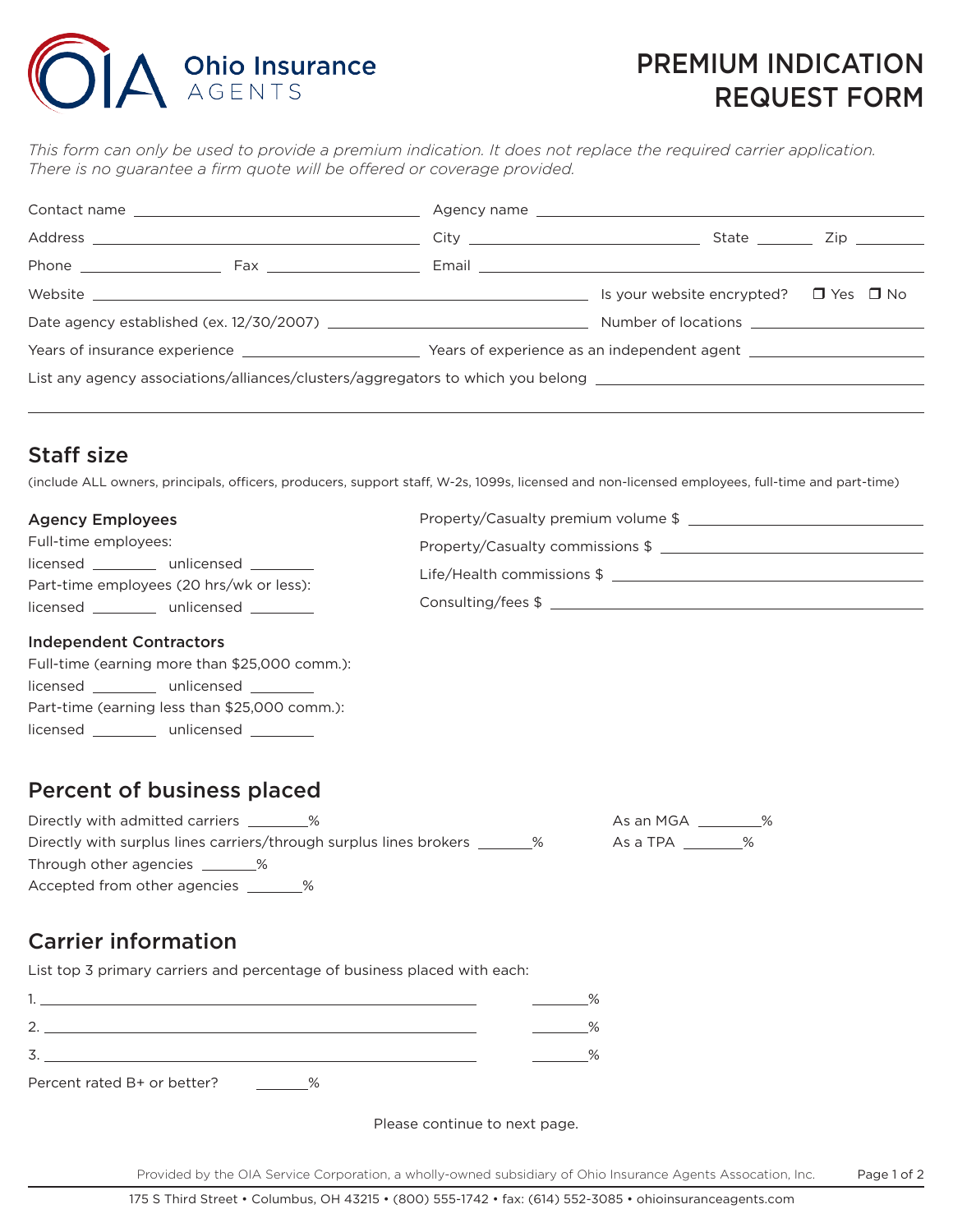# A Ohio Insurance

## PREMIUM INDICATION REQUEST FORM

*This form can only be used to provide a premium indication. It does not replace the required carrier application. There is no guarantee a firm quote will be offered or coverage provided.*

|                                                                                                                |  | Email <b>Exercise Email Account Contract Contract Contract Contract Contract Contract Contract Contract Contract Contract Contract Contract Contract Contract Contract Contract Contract Contract Contract Contract Contract Con</b> |  |
|----------------------------------------------------------------------------------------------------------------|--|--------------------------------------------------------------------------------------------------------------------------------------------------------------------------------------------------------------------------------------|--|
|                                                                                                                |  | Is your website encrypted? $\Box$ Yes $\Box$ No                                                                                                                                                                                      |  |
| Date agency established (ex. $12/30/2007$ )                                                                    |  |                                                                                                                                                                                                                                      |  |
| Years of insurance experience                                                                                  |  |                                                                                                                                                                                                                                      |  |
| List any agency associations/alliances/clusters/aggregators to which you belong ______________________________ |  |                                                                                                                                                                                                                                      |  |
|                                                                                                                |  |                                                                                                                                                                                                                                      |  |

### Staff size

(include ALL owners, principals, officers, producers, support staff, W-2s, 1099s, licensed and non-licensed employees, full-time and part-time)

| <b>Agency Employees</b>                  | Property/Casualty premium volume \$ |
|------------------------------------------|-------------------------------------|
| Full-time employees:                     | Property/Casualty commissions \$    |
| licensed _________ unlicensed ______     |                                     |
| Part-time employees (20 hrs/wk or less): | Life/Health commissions \$          |
| licensed unlicensed                      | Consulting/fees \$                  |
| <b>Independent Contractors</b>           |                                     |

#### Independent Contractors

| Full-time (earning more than \$25,000 comm.):                                                                                     |                                               |  |  |  |
|-----------------------------------------------------------------------------------------------------------------------------------|-----------------------------------------------|--|--|--|
| licensed<br><u> 1999 - Alban III, prima prima prima prima prima prima prima prima prima prima prima prima prima prima prima p</u> | unlicensed                                    |  |  |  |
|                                                                                                                                   | Part-time (earning less than \$25,000 comm.): |  |  |  |
| licensed                                                                                                                          | unlicensed                                    |  |  |  |

#### Percent of business placed

| Directly with admitted carriers 26                                           | As an MGA 26 % |  |
|------------------------------------------------------------------------------|----------------|--|
| Directly with surplus lines carriers/through surplus lines brokers ________% | AsaTPA %       |  |
| Through other agencies %                                                     |                |  |
| Accepted from other agencies 26                                              |                |  |

#### Carrier information

List top 3 primary carriers and percentage of business placed with each:

|                                         | %    |
|-----------------------------------------|------|
|                                         | %    |
|                                         | $\%$ |
| Percent rated B+ or better?<br>$\Omega$ |      |

Please continue to next page.

Page 1 of 2 Provided by the OIA Service Corporation, a wholly-owned subsidiary of Ohio Insurance Agents Assocation, Inc.